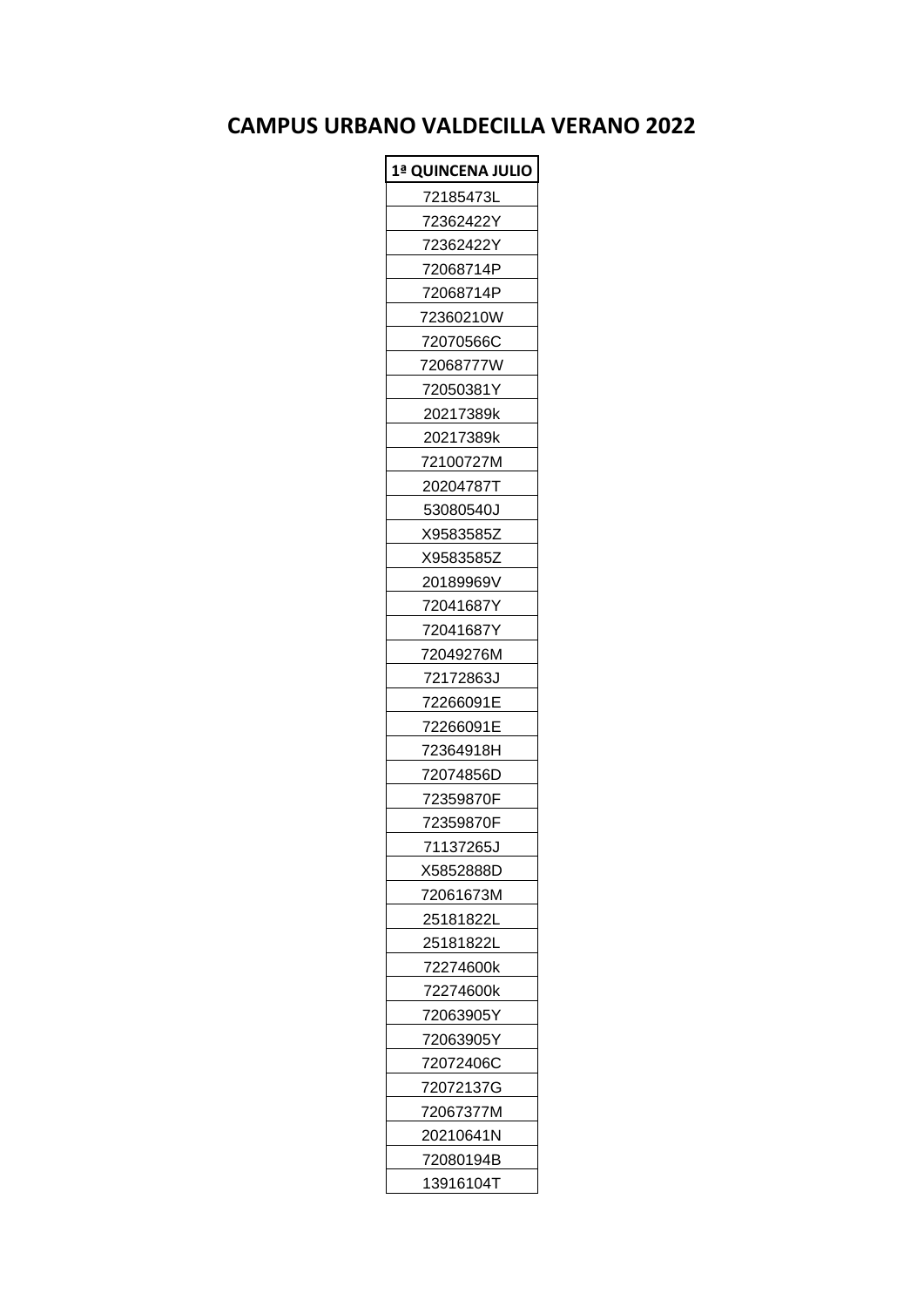## **CAMPUS URBANO VALDECILLA VERANO 2022**

| 1ª QUINCENA JULIO |
|-------------------|
| 72185473L         |
| 72362422Y         |
| 72362422Y         |
| 72068714P         |
| 72068714P         |
| 72360210W         |
| 72070566C         |
| 72068777W         |
| 72050381Y         |
| 20217389k         |
| 20217389k         |
| 72100727M         |
| 202047871         |
| 53080540J         |
| X9583585Z         |
| X9583585Z         |
| 20189969V         |
| 72041687Y         |
| 72041687Y         |
| 72049276M         |
| 72172863J         |
| 72266091E         |
| 72266091E         |
| 72364918H         |
| 72074856D         |
| 72359870F         |
| 72359870F         |
| 71137265J         |
| X5852888D         |
| 72061673M         |
| 25181822L         |
| 25181822L         |
| 72274600k         |
| 72274600k         |
| 72063905Y         |
| 72063905Y         |
| 72072406C         |
| 72072137G         |
| 72067377M         |
| 20210641N         |
| 72080194B         |
| 13916104T         |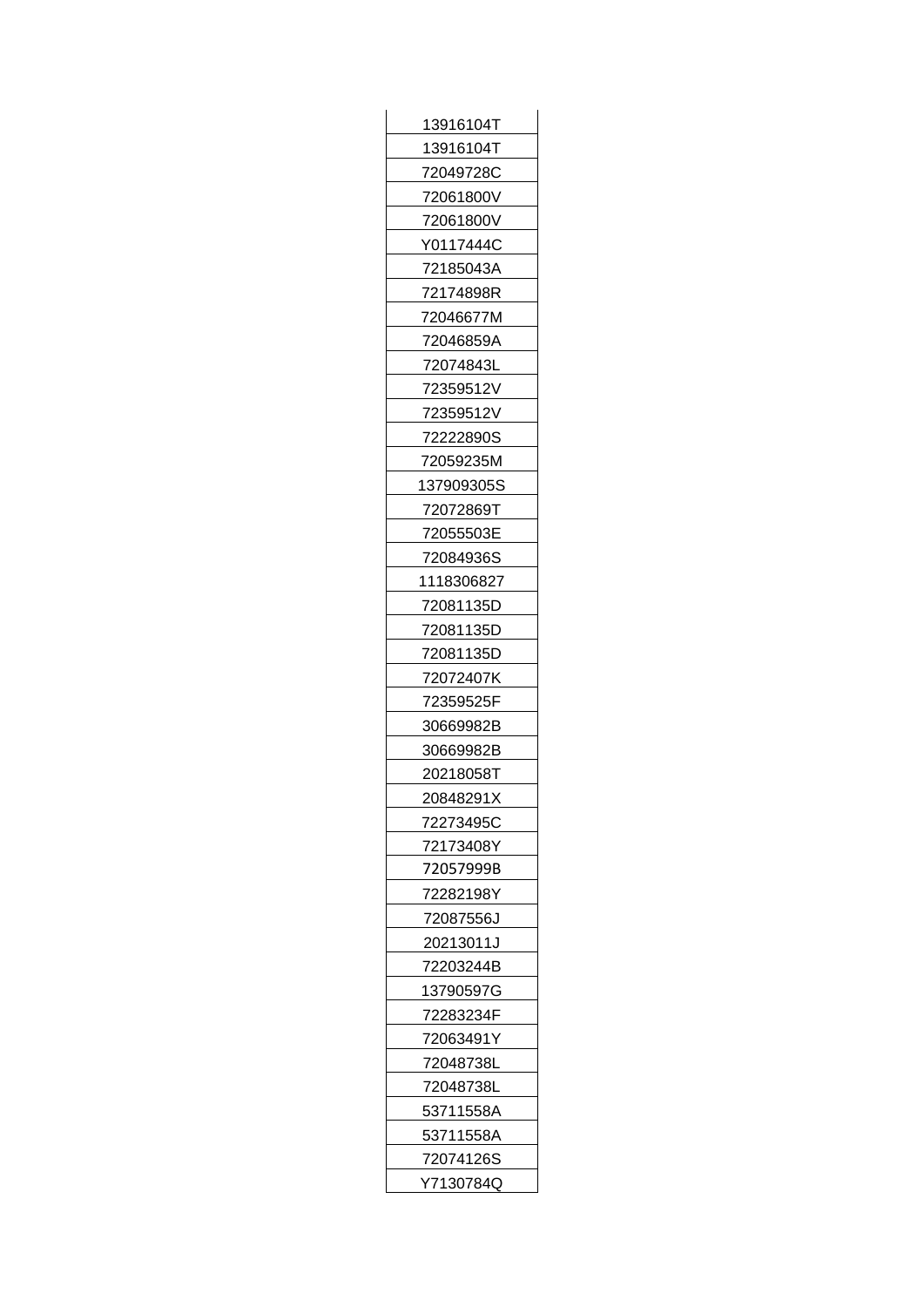| 13916104T         |
|-------------------|
| 13916104T         |
| 72049728C         |
| 72061800V         |
| 72061800V         |
| Y0117444C         |
| 72185043A         |
| 72174898R         |
| 72046677M         |
| 72046859A         |
| 72074843L         |
| 72359512V         |
| 72359512V         |
| 72222890S         |
| 72059235M         |
| 137909305S        |
| 72072869T         |
| 72055503E         |
| 72084936S         |
| 1118306827        |
| 72081135D         |
| 72081135D         |
| 72081135D         |
| 72072407K         |
| 72359525F         |
| 30669982B         |
| 30669982B         |
| 20218058T         |
| 20848291X         |
| 72273495C         |
| 72173408Y         |
| 72057999B         |
| 72282198Y         |
| 72087556J         |
| 20213011J         |
| 72203244B         |
| 13790597G         |
| 72283234F         |
| 72063491Y         |
| 72048738L         |
| 72048738L         |
| 53711558A         |
| 53711558A         |
| 72074126S         |
| <u>Y71</u> 30784Q |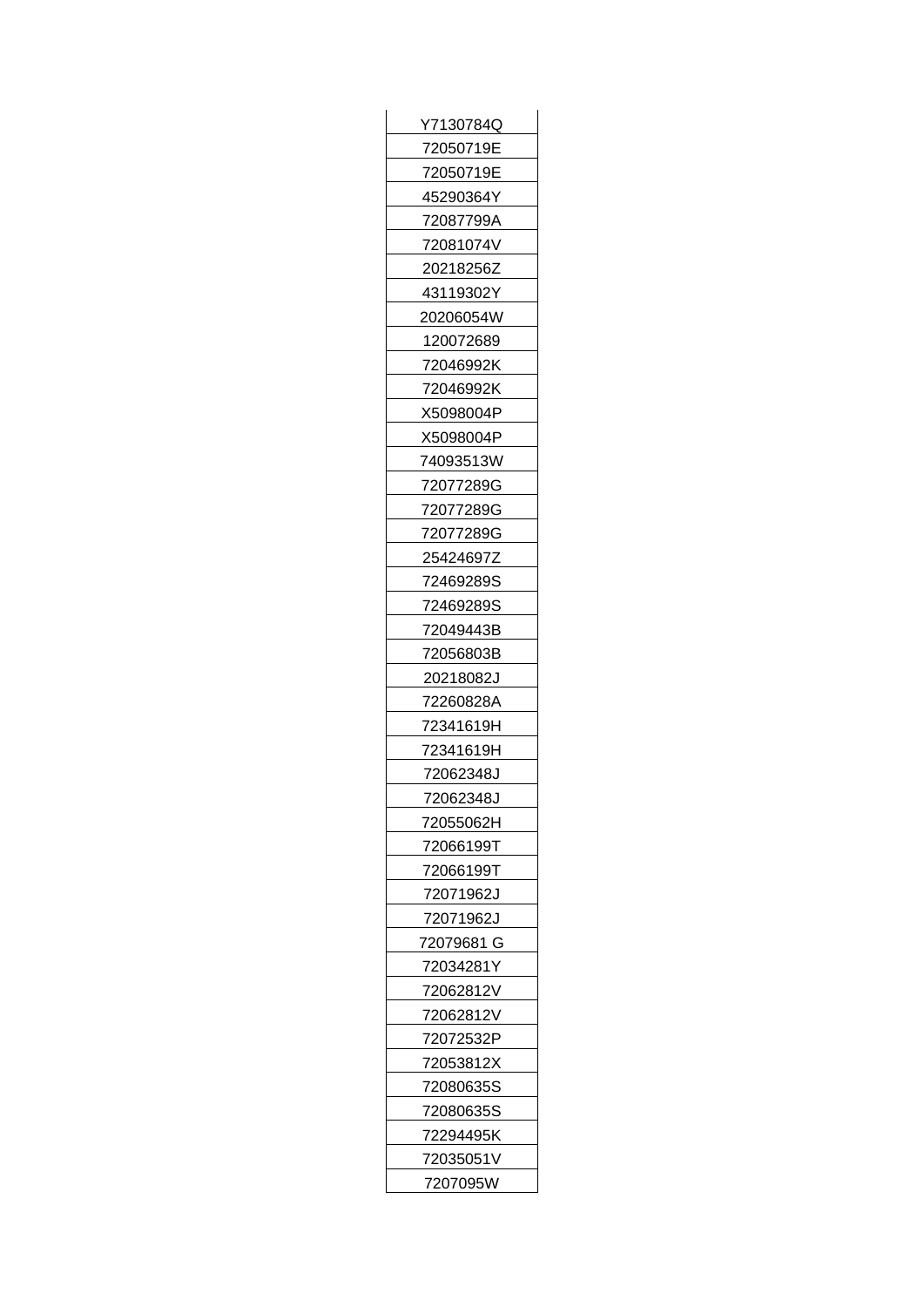| Y7130784Q  |
|------------|
| 72050719E  |
| 72050719E  |
| 45290364Y  |
| 72087799A  |
| 72081074V  |
| 20218256Z  |
| 43119302Y  |
| 20206054W  |
| 120072689  |
| 72046992K  |
| 72046992K  |
| X5098004P  |
| X5098004P  |
| 74093513W  |
| 72077289G  |
| 72077289G  |
| 72077289G  |
| 25424697Z  |
| 72469289S  |
| 72469289S  |
| 72049443B  |
| 72056803B  |
| 20218082J  |
| 72260828A  |
| 72341619H  |
| 72341619H  |
| 72062348J  |
| 72062348J  |
| 72055062H  |
| 72066199T  |
| 72066199T  |
| 72071962J  |
| 72071962J  |
| 72079681 G |
| 72034281Y  |
| 72062812V  |
| 72062812V  |
| 72072532P  |
| 72053812X  |
| 72080635S  |
| 72080635S  |
| 72294495K  |
| 72035051V  |
| 7207095W   |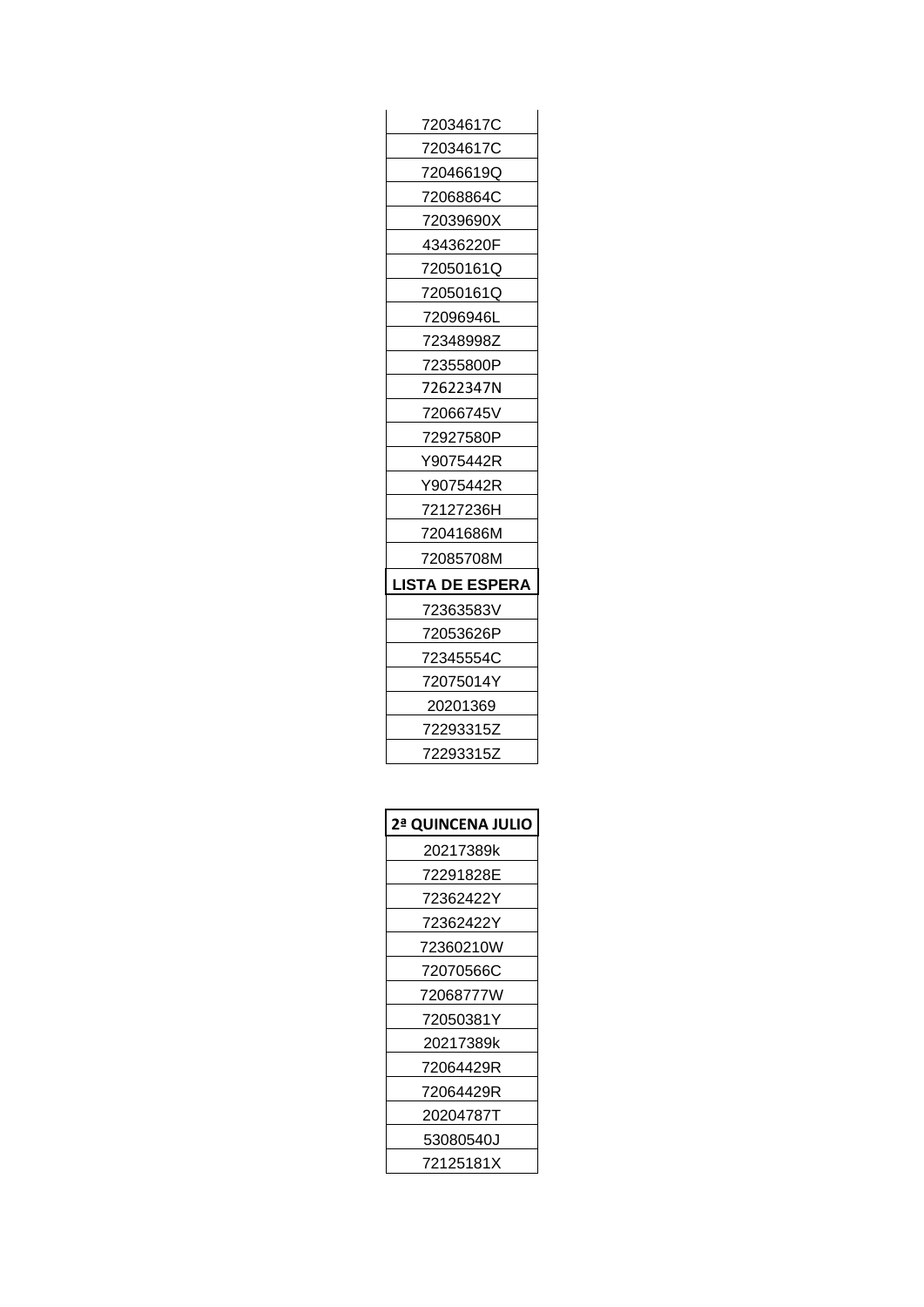| 2ª QUINCENA JULIO |
|-------------------|
| 20217389k         |
| 72291828E         |
| 72362422Y         |
| 72362422Y         |
| 72360210W         |
| 72070566C         |
| 72068777W         |
| 72050381Y         |
| 20217389k         |
| 72064429R         |
| 72064429R         |
| 20204787T         |
| 53080540J         |
| 72125181X         |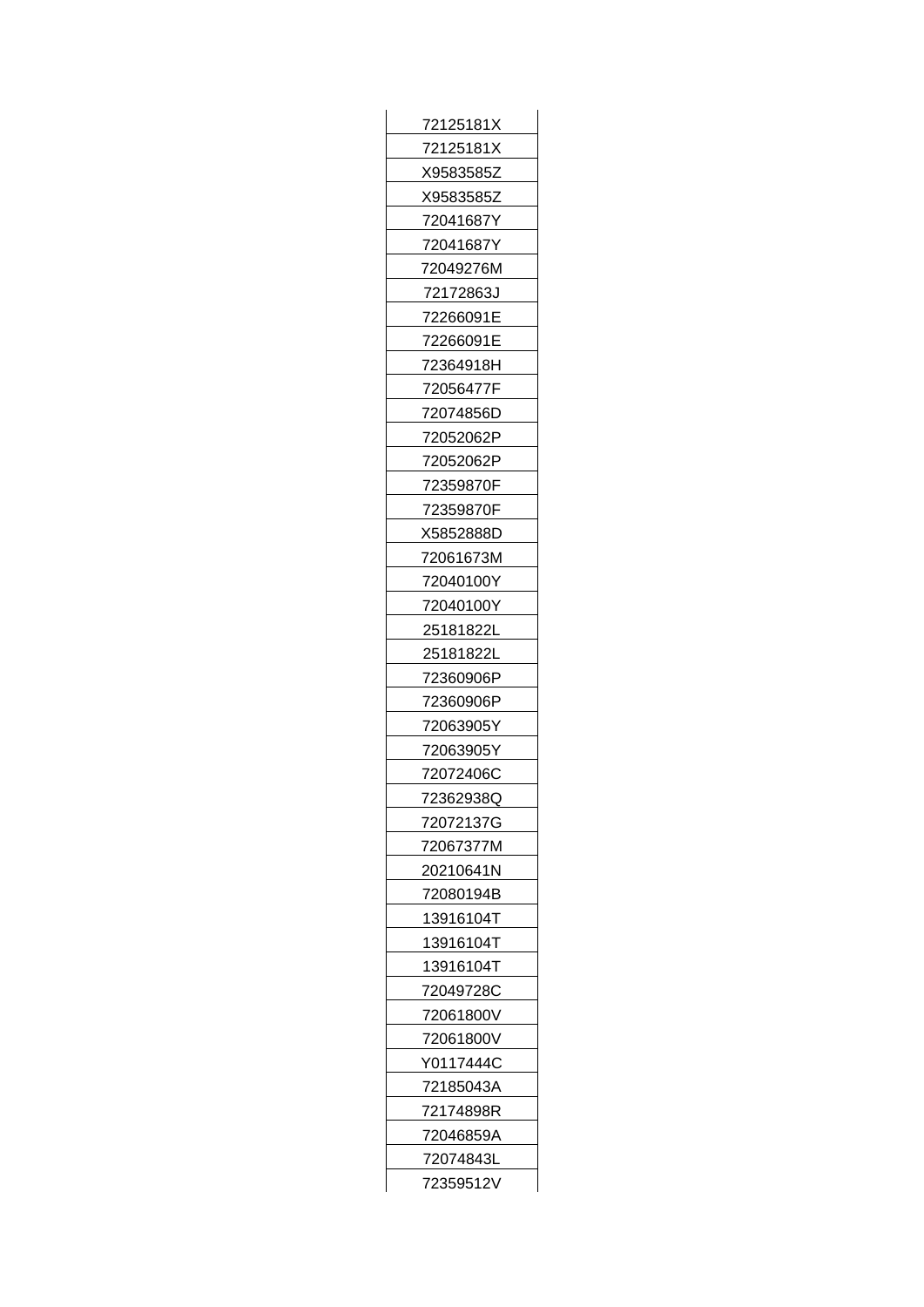| 72125181X      |
|----------------|
| 72125181X      |
| X9583585Z      |
| X9583585Z      |
| 72041687Y      |
| 72041687Y      |
| 72049276M      |
| 72172863J      |
| 72266091E      |
| 72266091E      |
| 72364918H      |
| 72056477F      |
| 72074856D      |
| 72052062P      |
| 72052062P      |
| 72359870F      |
| 72359870F      |
| X5852888D      |
| 72061673M      |
| 72040100Y      |
|                |
| 72040100Y      |
| 25181822L      |
| 25181822L      |
| 72360906P      |
| 72360906P      |
| 72063905Y      |
| 72063905Y      |
| 72072406C      |
| 723629380<br>ı |
| 72072137G      |
| 72067377M      |
| 20210641N      |
| 72080194B      |
| 13916104T      |
| 13916104T      |
| 13916104T      |
| 72049728C      |
| 72061800V      |
| 72061800V      |
| Y0117444C      |
| 72185043A      |
| 72174898R      |
| 72046859A      |
| 72074843L      |
| 72359512V      |
|                |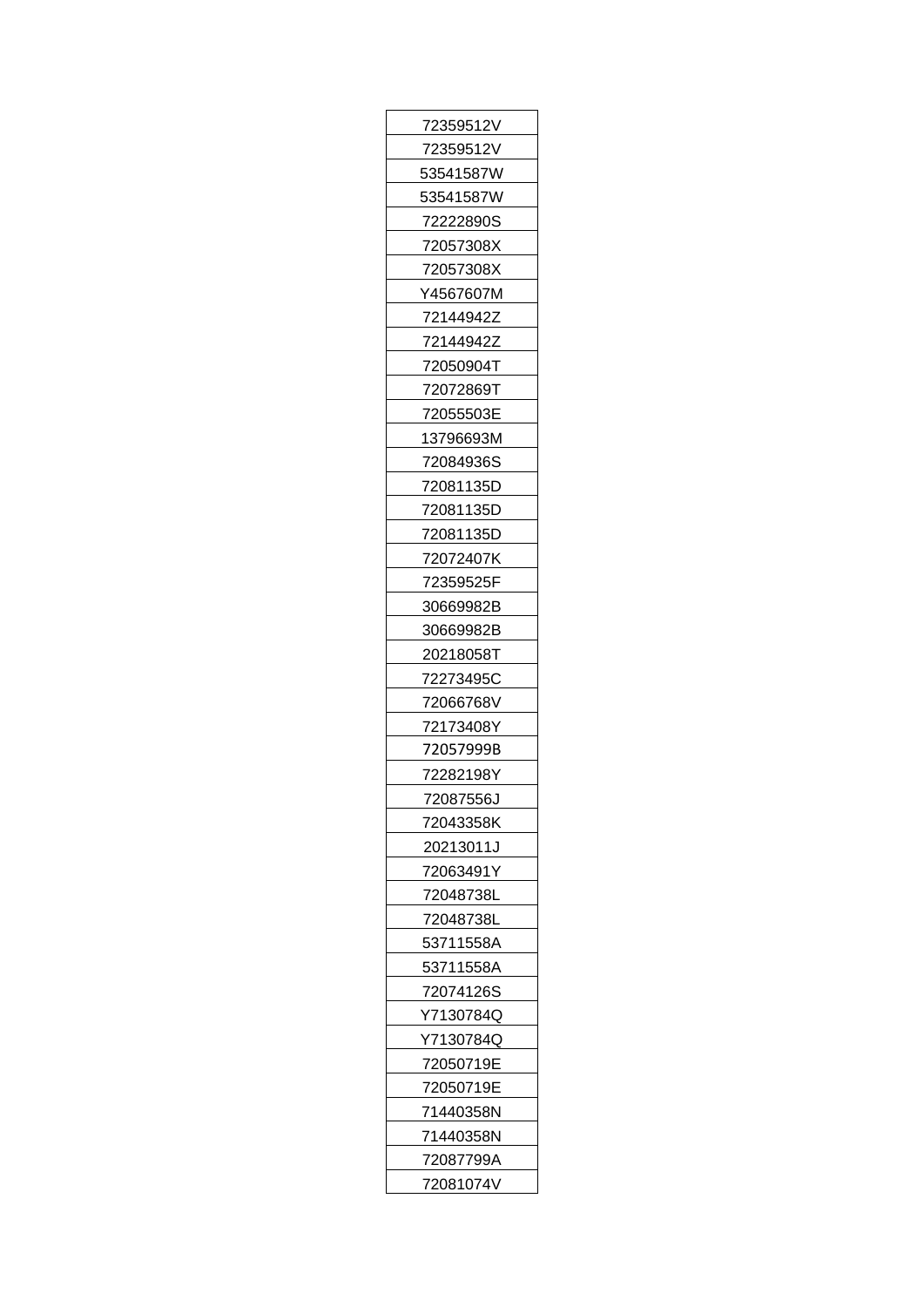| 72359512V |
|-----------|
| 72359512V |
| 53541587W |
| 53541587W |
| 72222890S |
| 72057308X |
| 72057308X |
| Y4567607M |
| 72144942Z |
| 72144942Z |
| 72050904T |
| 72072869T |
| 72055503E |
| 13796693M |
| 72084936S |
| 72081135D |
| 72081135D |
| 72081135D |
| 72072407K |
| 72359525F |
| 30669982B |
| 30669982B |
| 20218058T |
| 72273495C |
| 72066768V |
| 72173408Y |
| 72057999B |
| 72282198Y |
| 72087556J |
| 72043358K |
| 20213011J |
| 72063491Y |
| 72048738L |
| 72048738L |
| 53711558A |
| 53711558A |
| 72074126S |
| Y7130784Q |
| Y7130784Q |
| 72050719E |
| 72050719E |
| 71440358N |
| 71440358N |
| 72087799A |
| 72081074V |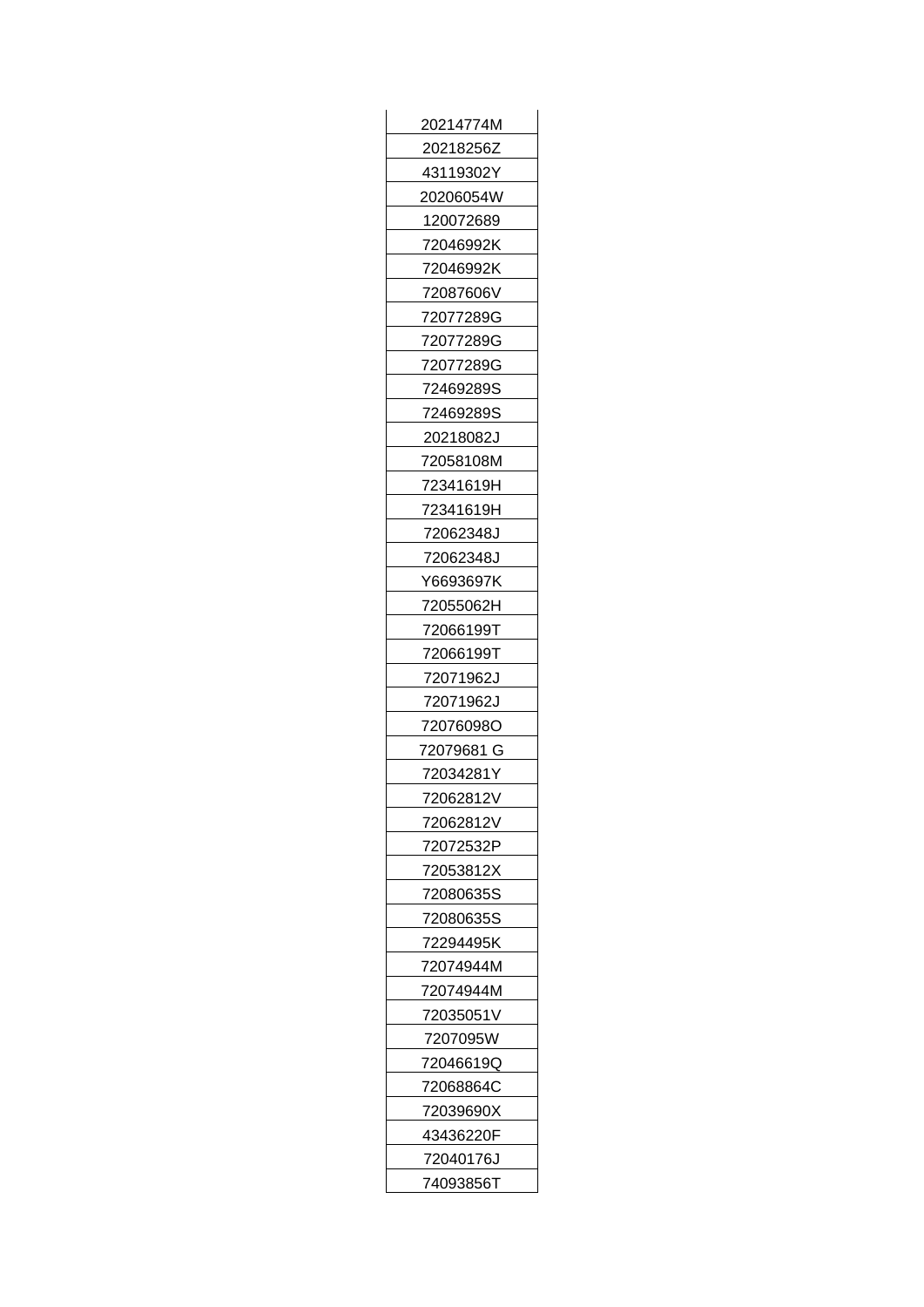| 20214774M  |
|------------|
| 20218256Z  |
| 43119302Y  |
| 20206054W  |
| 120072689  |
| 72046992K  |
| 72046992K  |
| 72087606V  |
| 72077289G  |
| 72077289G  |
| 72077289G  |
| 72469289S  |
| 72469289S  |
| 20218082J  |
| 72058108M  |
| 72341619H  |
| 72341619H  |
| 72062348J  |
| 72062348J  |
| Y6693697K  |
| 72055062H  |
| 72066199T  |
| 72066199T  |
| 72071962J  |
| 72071962J  |
| 72076098O  |
| 72079681 G |
| 72034281Y  |
| 72062812V  |
| 72062812V  |
| 72072532P  |
| 72053812X  |
| 72080635S  |
| 72080635S  |
| 72294495K  |
| 72074944M  |
| 72074944M  |
| 72035051V  |
| 7207095W   |
| 72046619Q  |
| 72068864C  |
| 72039690X  |
| 43436220F  |
| 72040176J  |
| 74093856T  |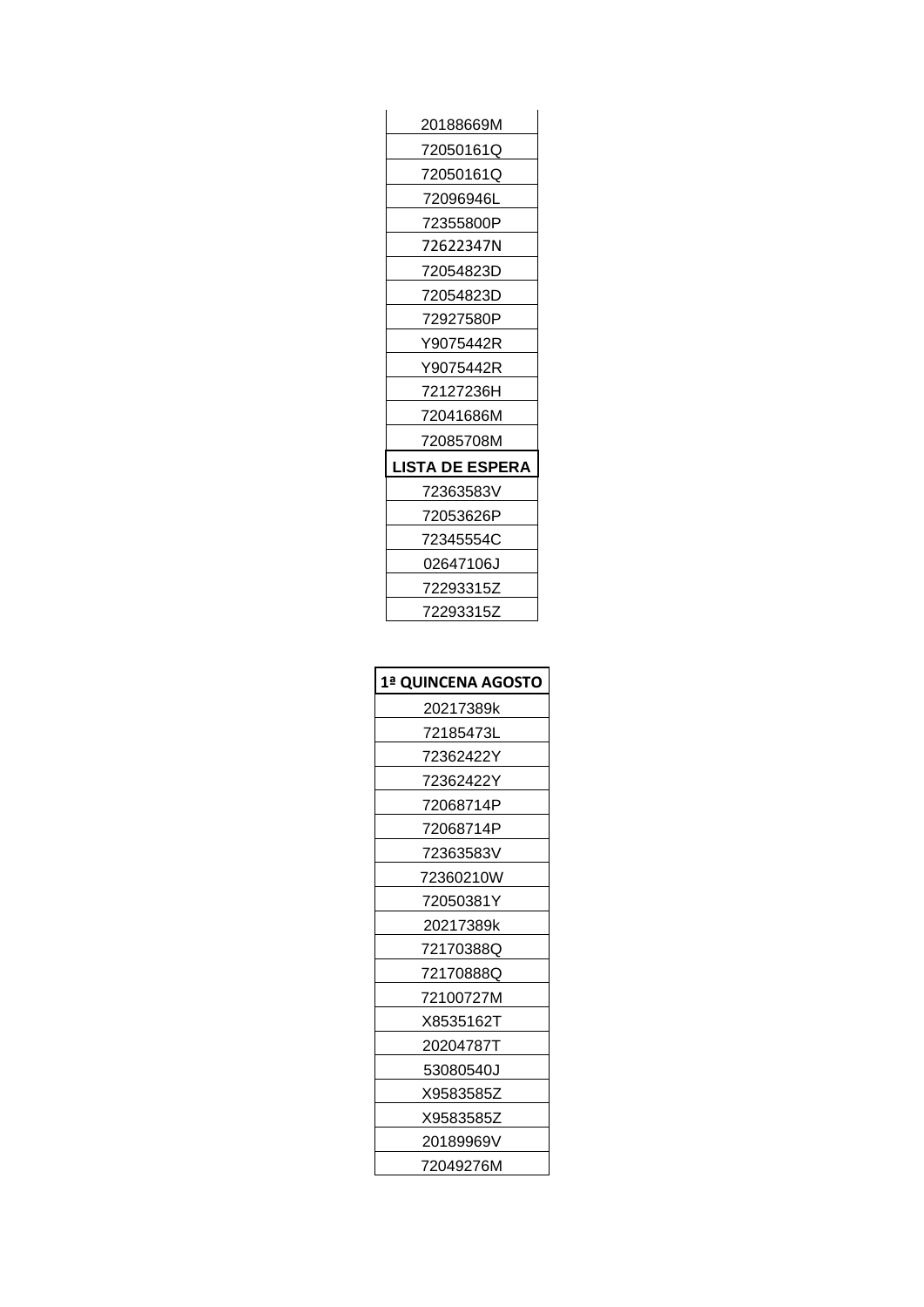| 20188669M              |
|------------------------|
| 72050161Q              |
| 72050161Q              |
| 72096946L              |
| 72355800P              |
| 72622347N              |
| 72054823D              |
| 72054823D              |
| 72927580P              |
| Y9075442R              |
| Y9075442R              |
| 72127236H              |
| 72041686M              |
| 72085708M              |
| <b>LISTA DE ESPERA</b> |
| 72363583V              |
| 72053626P              |
| 72345554C              |
| 02647106J              |
| 72293315Z              |
| 72293315Z              |

| 1ª QUINCENA AGOSTO |
|--------------------|
| 20217389k          |
| 72185473L          |
| 72362422Y          |
| 72362422Y          |
| 72068714P          |
| 72068714P          |
| 72363583V          |
| 72360210W          |
| 72050381Y          |
| 20217389k          |
| 72170388Q          |
| 72170888Q          |
| 72100727M          |
| X8535162T          |
| 20204787T          |
| 53080540J          |
| X9583585Z          |
| X9583585Z          |
| 20189969V          |
| 72049276M          |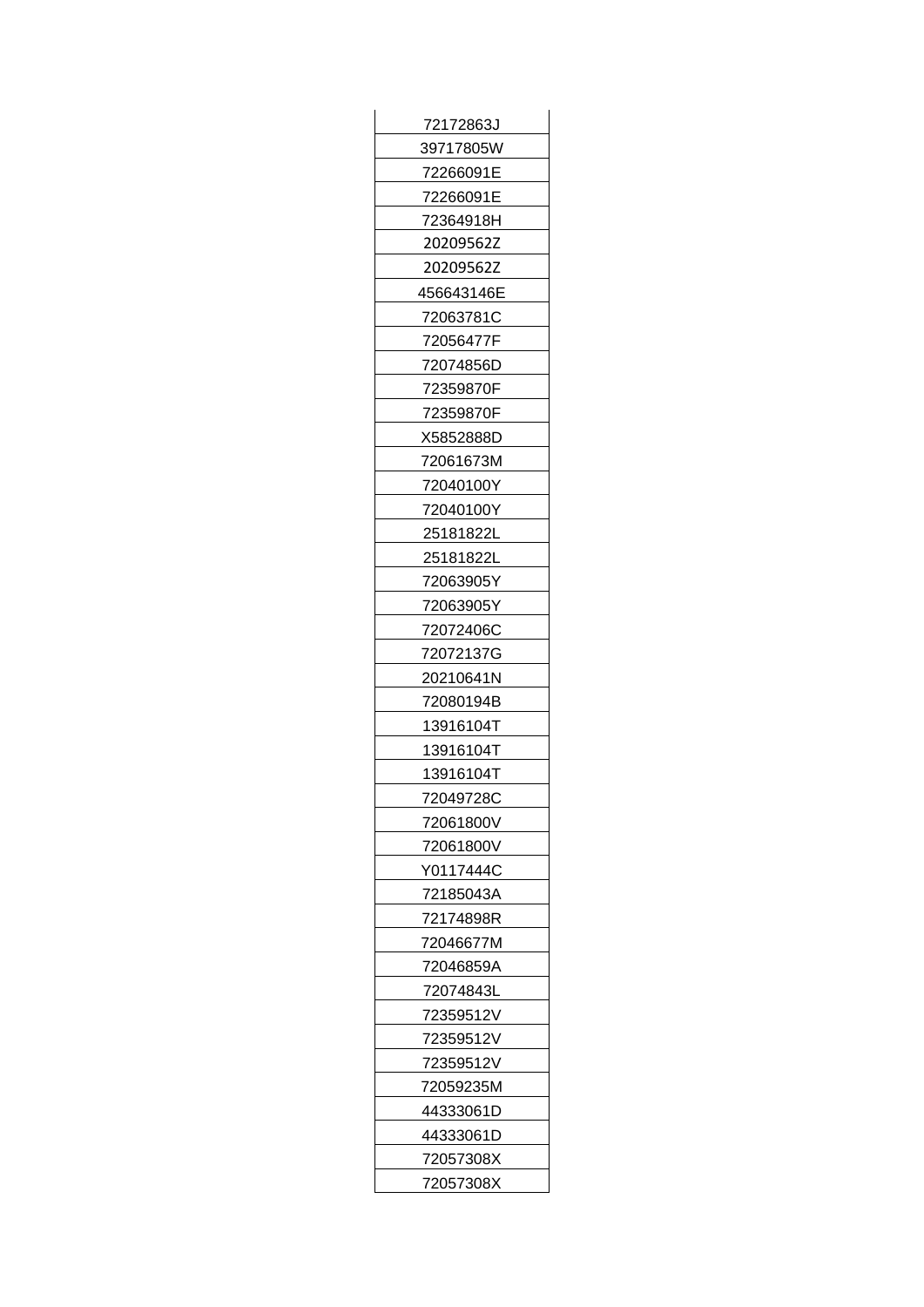| 72172863J  |
|------------|
| 39717805W  |
| 72266091E  |
| 72266091E  |
| 72364918H  |
| 20209562Z  |
| 20209562Z  |
| 456643146E |
| 72063781C  |
| 72056477F  |
| 72074856D  |
| 72359870F  |
| 72359870F  |
| X5852888D  |
| 72061673M  |
| 72040100Y  |
| 72040100Y  |
| 25181822L  |
| 25181822L  |
| 72063905Y  |
| 72063905Y  |
| 72072406C  |
| 72072137G  |
| 20210641N  |
| 72080194B  |
| 13916104T  |
| 13916104T  |
| 13916104T  |
| 72049728C  |
| 72061800V  |
| 72061800V  |
| Y0117444C  |
| 72185043A  |
| 72174898R  |
| 72046677M  |
| 72046859A  |
| 72074843L  |
| 72359512V  |
| 72359512V  |
| 72359512V  |
| 72059235M  |
| 44333061D  |
| 44333061D  |
| 72057308X  |
| 72057308X  |
|            |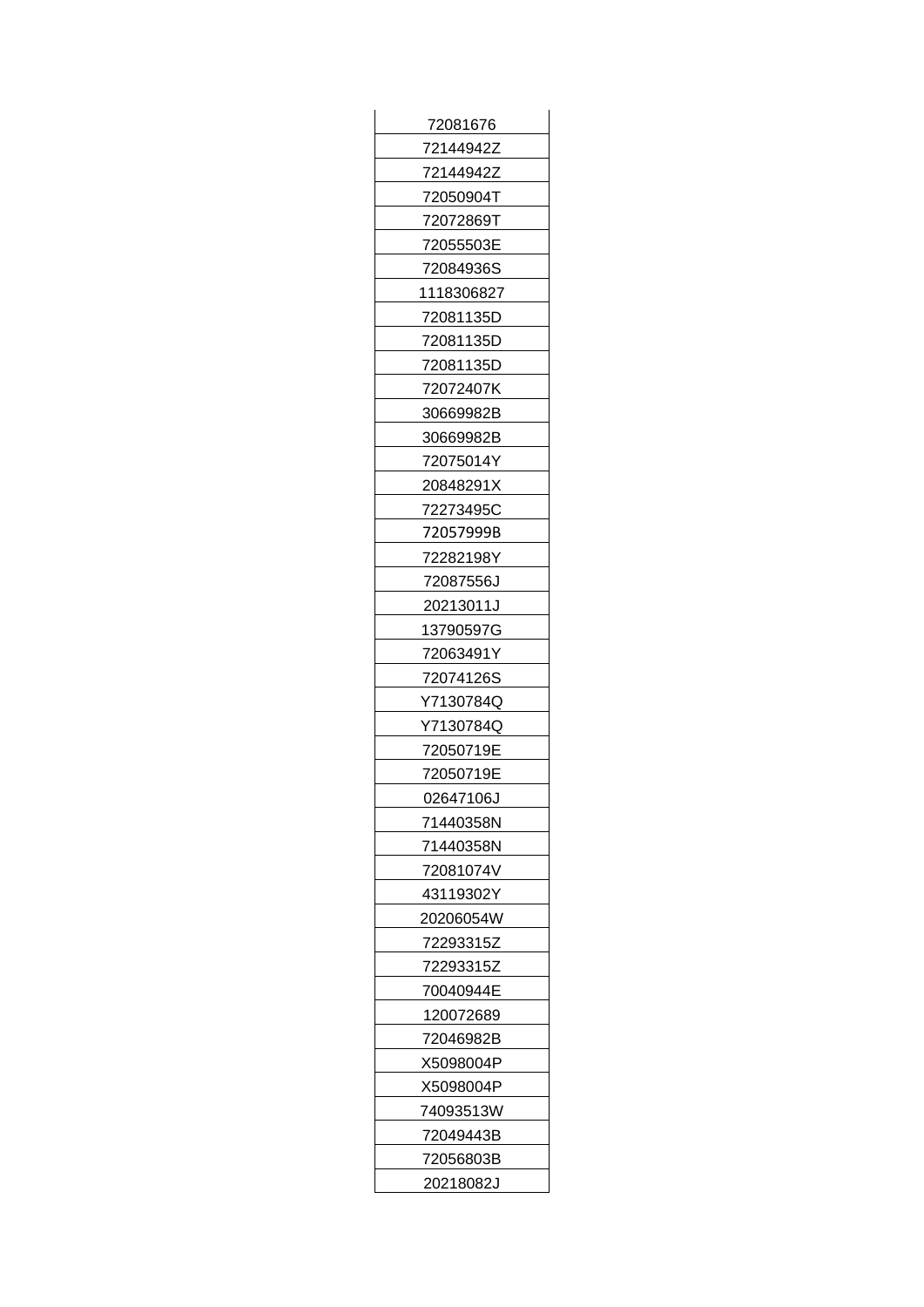| 72081676   |
|------------|
| 72144942Z  |
| 72144942Z  |
| 72050904T  |
| 72072869T  |
| 72055503E  |
| 72084936S  |
| 1118306827 |
| 72081135D  |
| 72081135D  |
| 72081135D  |
| 72072407K  |
| 30669982B  |
| 30669982B  |
| 72075014Y  |
| 20848291X  |
| 72273495C  |
| 72057999B  |
| 72282198Y  |
| 72087556J  |
| 20213011J  |
| 13790597G  |
| 72063491Y  |
| 72074126S  |
| Y7130784Q  |
| Y7130784Q  |
| 72050719E  |
| 72050719E  |
| 02647106J  |
| 71440358N  |
| 71440358N  |
| 72081074V  |
| 43119302Y  |
| 20206054W  |
| 72293315Z  |
| 72293315Z  |
| 70040944E  |
| 120072689  |
| 72046982B  |
| X5098004P  |
| X5098004P  |
| 74093513W  |
| 72049443B  |
| 72056803B  |
| 20218082J  |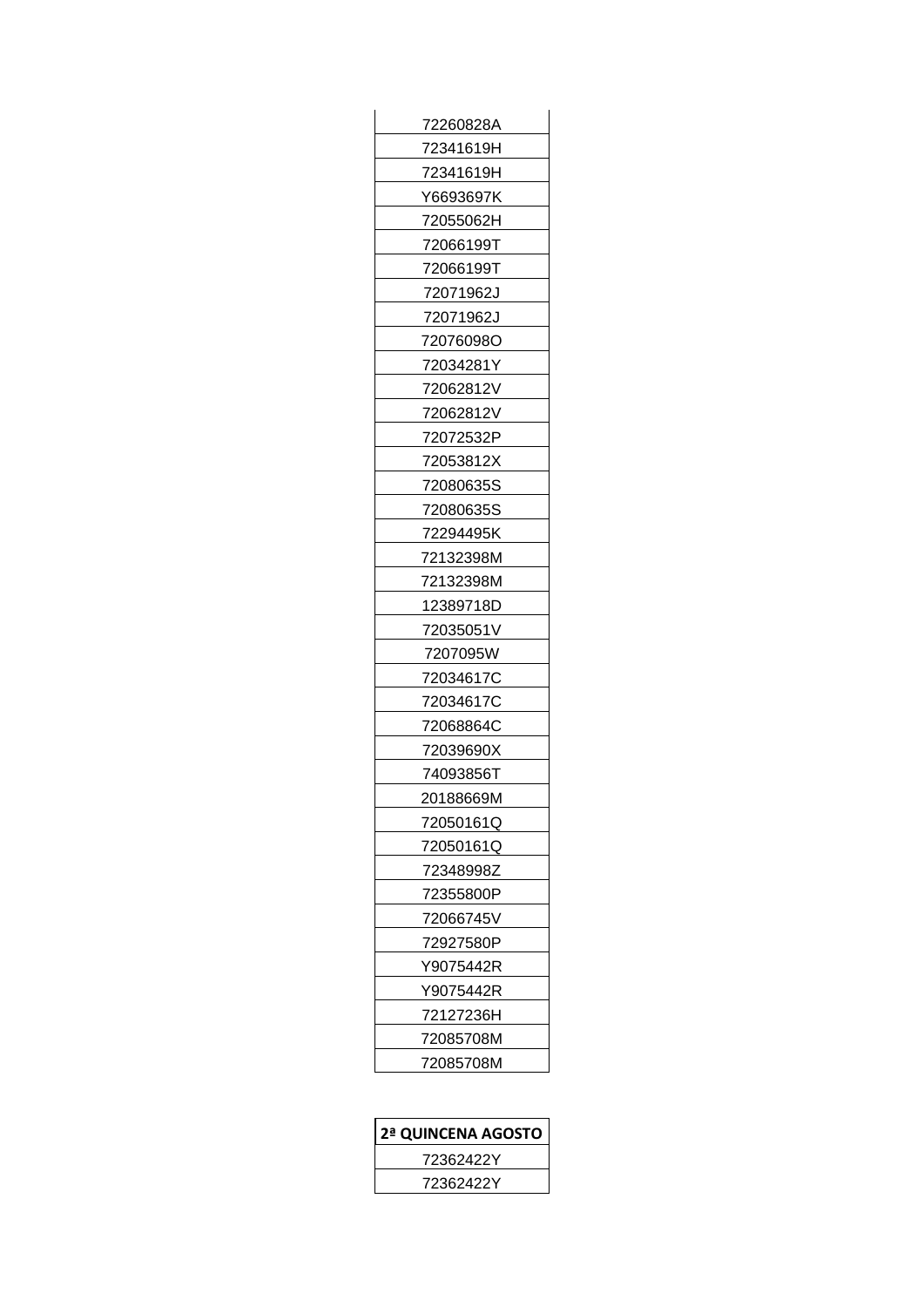| 72260828A |
|-----------|
| 72341619H |
| 72341619H |
| Y6693697K |
| 72055062H |
| 72066199T |
| 72066199T |
| 72071962J |
| 72071962J |
| 72076098O |
| 72034281Y |
| 72062812V |
| 72062812V |
| 72072532P |
| 72053812X |
| 72080635S |
| 72080635S |
| 72294495K |
| 72132398M |
| 72132398M |
| 12389718D |
| 72035051V |
| 7207095W  |
| 72034617C |
| 72034617C |
| 72068864C |
| 72039690X |
| 74093856T |
| 20188669M |
| 72050161Q |
| 72050161Q |
| 72348998Z |
| 72355800P |
| 72066745V |
| 72927580P |
| Y9075442R |
| Y9075442R |
| 72127236H |
| 72085708M |
| 72085708M |
|           |

| 2ª QUINCENA AGOSTO |  |
|--------------------|--|
| 72362422Y          |  |
| 72362422Y          |  |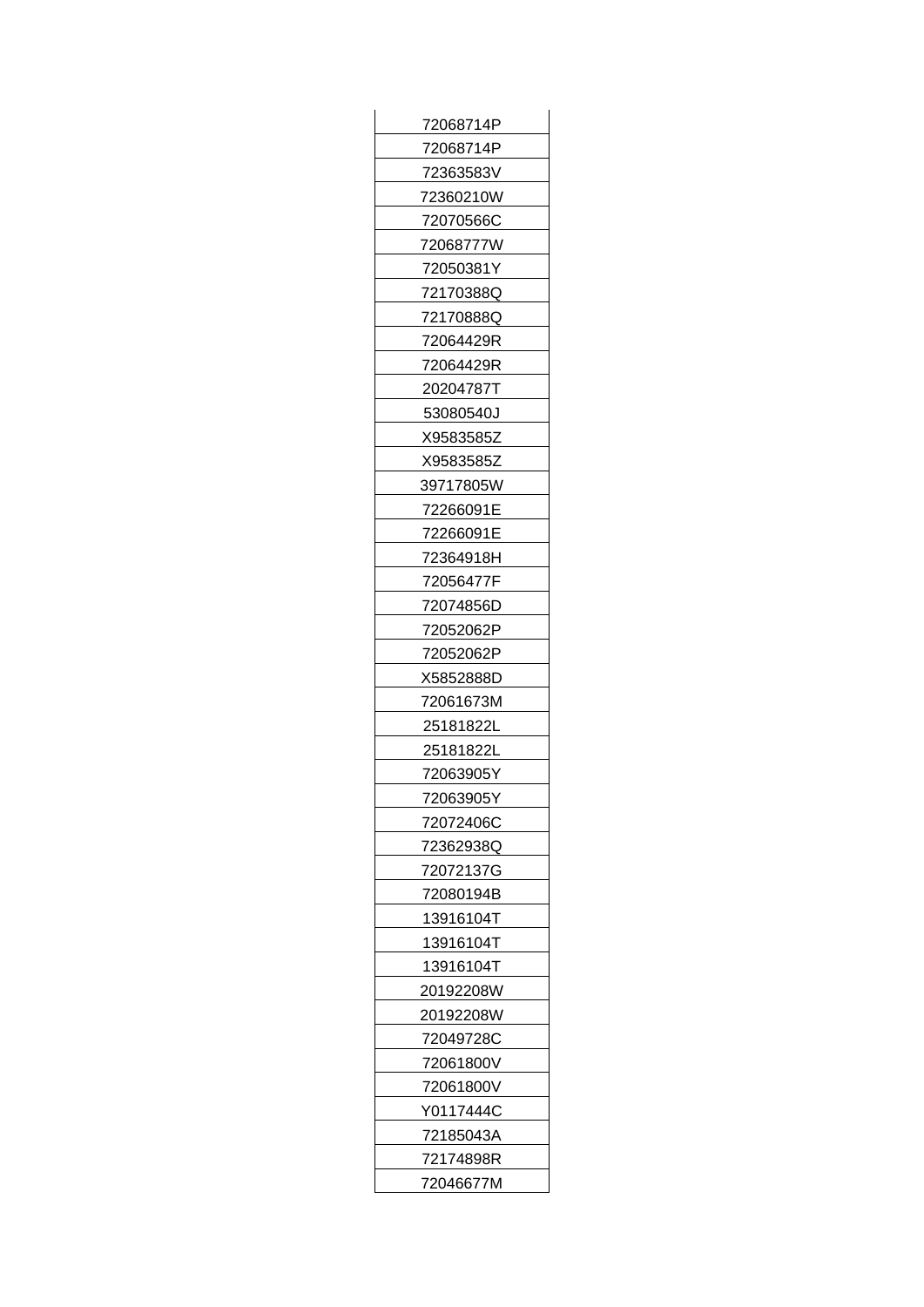| 72068714P |
|-----------|
| 72068714P |
| 72363583V |
| 72360210W |
| 72070566C |
| 72068777W |
| 72050381Y |
| 72170388Q |
| 72170888Q |
| 72064429R |
| 72064429R |
| 20204787T |
| 53080540J |
| X9583585Z |
| X9583585Z |
| 39717805W |
| 72266091E |
| 72266091E |
| 72364918H |
| 72056477F |
| 72074856D |
| 72052062P |
| 72052062P |
| X5852888D |
| 72061673M |
| 25181822L |
| 25181822L |
| 72063905Y |
| 72063905Y |
| 72072406C |
| 72362938Q |
| 72072137G |
| 72080194B |
| 13916104T |
| 13916104T |
| 13916104T |
| 20192208W |
| 20192208W |
| 72049728C |
| 72061800V |
| 72061800V |
| Y0117444C |
| 72185043A |
| 72174898R |
| 72046677M |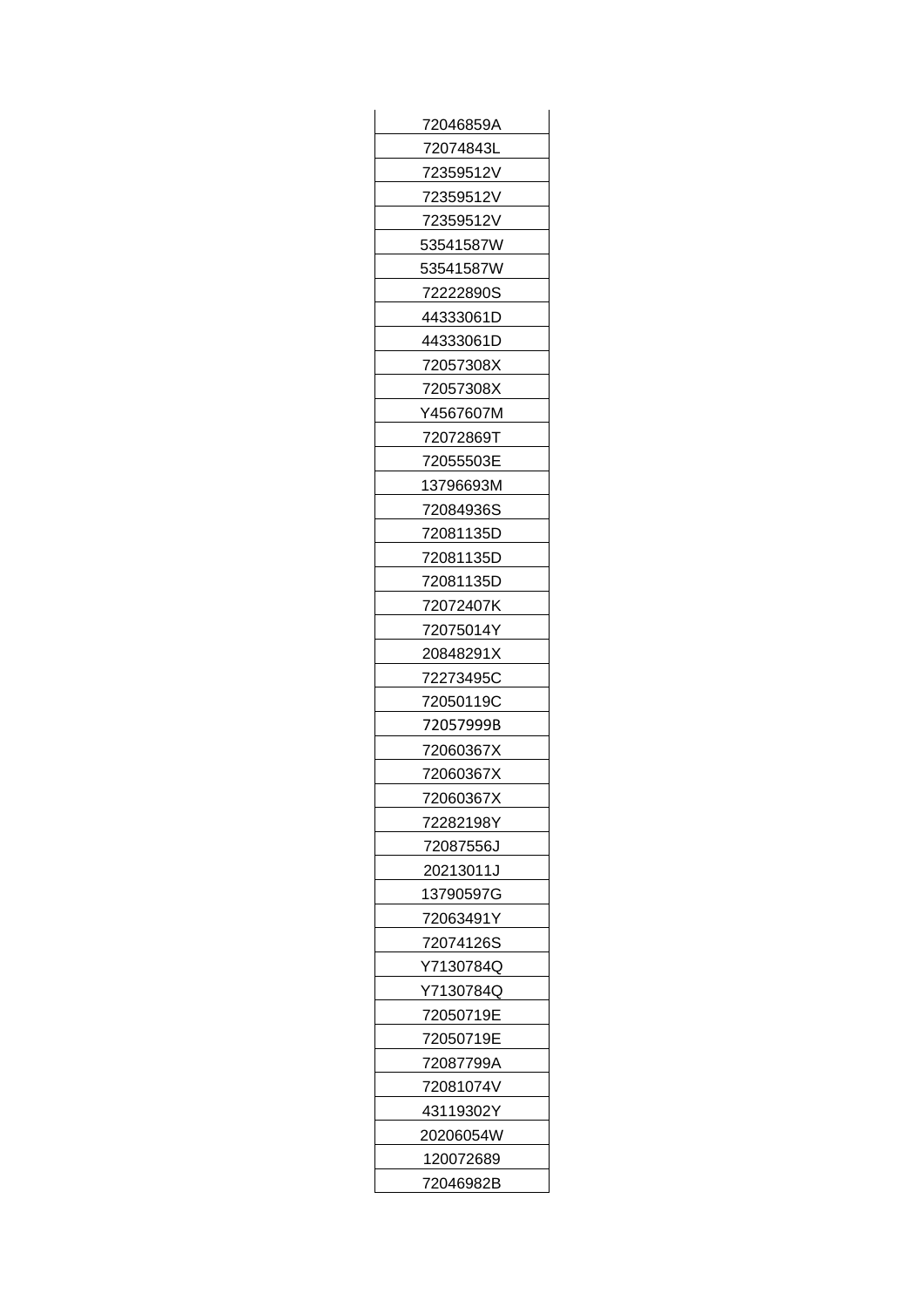| 72046859A |
|-----------|
| 72074843L |
| 72359512V |
| 72359512V |
| 72359512V |
| 53541587W |
| 53541587W |
| 72222890S |
| 44333061D |
| 44333061D |
| 72057308X |
| 72057308X |
| Y4567607M |
| 72072869T |
| 72055503E |
| 13796693M |
| 72084936S |
| 72081135D |
| 72081135D |
| 72081135D |
| 72072407K |
| 72075014Y |
| 20848291X |
| 72273495C |
| 72050119C |
| 72057999B |
| 72060367X |
| 72060367X |
| 72060367X |
| 72282198Y |
| 72087556J |
| 20213011J |
| 13790597G |
| 72063491Y |
| 72074126S |
| Y7130784Q |
| Y7130784Q |
| 72050719E |
| 72050719E |
| 72087799A |
| 72081074V |
| 43119302Y |
| 20206054W |
| 120072689 |
| 72046982B |
|           |